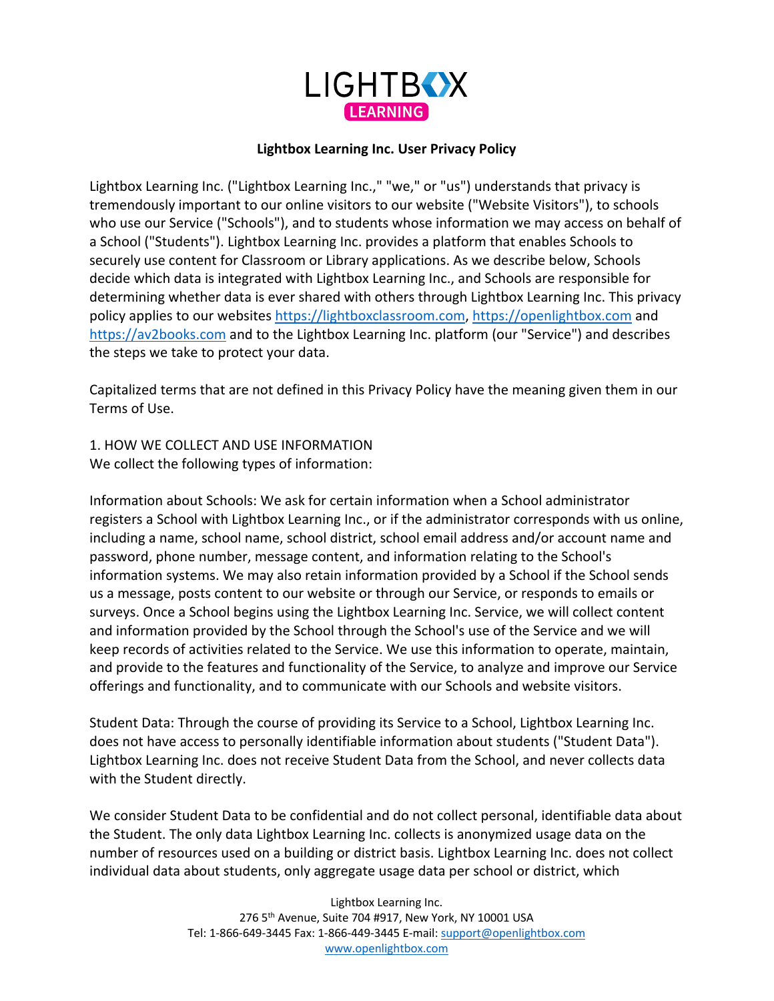

#### **Lightbox Learning Inc. User Privacy Policy**

Lightbox Learning Inc. ("Lightbox Learning Inc.," "we," or "us") understands that privacy is tremendously important to our online visitors to our website ("Website Visitors"), to schools who use our Service ("Schools"), and to students whose information we may access on behalf of a School ("Students"). Lightbox Learning Inc. provides a platform that enables Schools to securely use content for Classroom or Library applications. As we describe below, Schools decide which data is integrated with Lightbox Learning Inc., and Schools are responsible for determining whether data is ever shared with others through Lightbox Learning Inc. This privacy policy applies to our websites https://lightboxclassroom.com, https://openlightbox.com and https://av2books.com and to the Lightbox Learning Inc. platform (our "Service") and describes the steps we take to protect your data.

Capitalized terms that are not defined in this Privacy Policy have the meaning given them in our Terms of Use.

1. HOW WE COLLECT AND USE INFORMATION We collect the following types of information:

Information about Schools: We ask for certain information when a School administrator registers a School with Lightbox Learning Inc., or if the administrator corresponds with us online, including a name, school name, school district, school email address and/or account name and password, phone number, message content, and information relating to the School's information systems. We may also retain information provided by a School if the School sends us a message, posts content to our website or through our Service, or responds to emails or surveys. Once a School begins using the Lightbox Learning Inc. Service, we will collect content and information provided by the School through the School's use of the Service and we will keep records of activities related to the Service. We use this information to operate, maintain, and provide to the features and functionality of the Service, to analyze and improve our Service offerings and functionality, and to communicate with our Schools and website visitors.

Student Data: Through the course of providing its Service to a School, Lightbox Learning Inc. does not have access to personally identifiable information about students ("Student Data"). Lightbox Learning Inc. does not receive Student Data from the School, and never collects data with the Student directly.

We consider Student Data to be confidential and do not collect personal, identifiable data about the Student. The only data Lightbox Learning Inc. collects is anonymized usage data on the number of resources used on a building or district basis. Lightbox Learning Inc. does not collect individual data about students, only aggregate usage data per school or district, which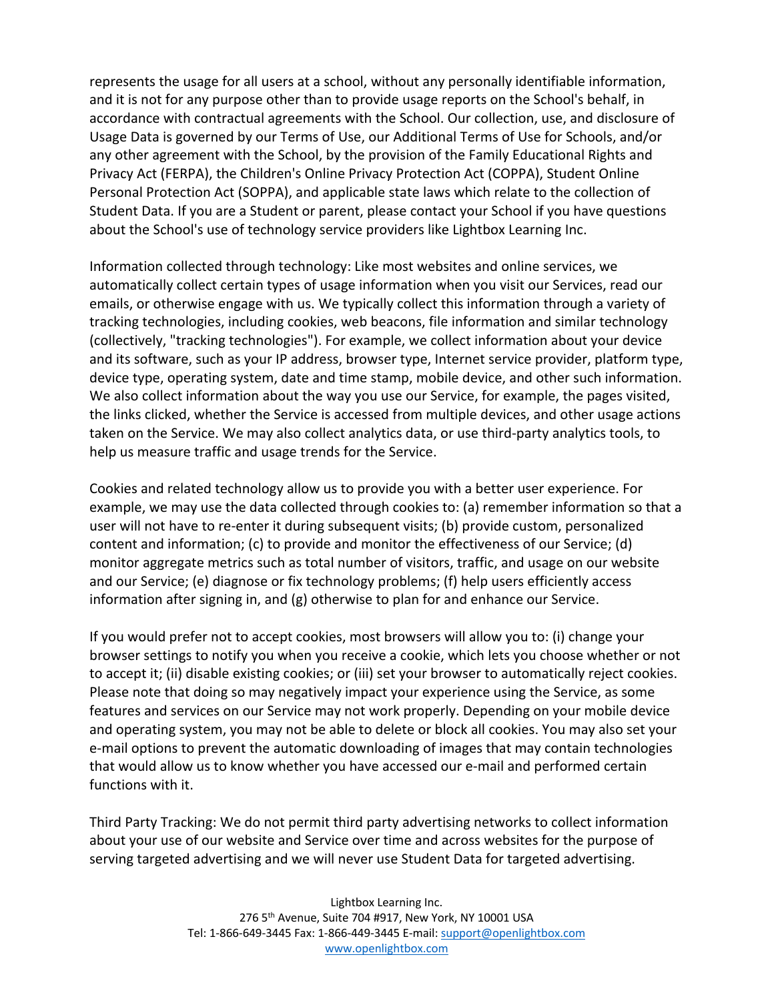represents the usage for all users at a school, without any personally identifiable information, and it is not for any purpose other than to provide usage reports on the School's behalf, in accordance with contractual agreements with the School. Our collection, use, and disclosure of Usage Data is governed by our Terms of Use, our Additional Terms of Use for Schools, and/or any other agreement with the School, by the provision of the Family Educational Rights and Privacy Act (FERPA), the Children's Online Privacy Protection Act (COPPA), Student Online Personal Protection Act (SOPPA), and applicable state laws which relate to the collection of Student Data. If you are a Student or parent, please contact your School if you have questions about the School's use of technology service providers like Lightbox Learning Inc.

Information collected through technology: Like most websites and online services, we automatically collect certain types of usage information when you visit our Services, read our emails, or otherwise engage with us. We typically collect this information through a variety of tracking technologies, including cookies, web beacons, file information and similar technology (collectively, "tracking technologies"). For example, we collect information about your device and its software, such as your IP address, browser type, Internet service provider, platform type, device type, operating system, date and time stamp, mobile device, and other such information. We also collect information about the way you use our Service, for example, the pages visited, the links clicked, whether the Service is accessed from multiple devices, and other usage actions taken on the Service. We may also collect analytics data, or use third-party analytics tools, to help us measure traffic and usage trends for the Service.

Cookies and related technology allow us to provide you with a better user experience. For example, we may use the data collected through cookies to: (a) remember information so that a user will not have to re-enter it during subsequent visits; (b) provide custom, personalized content and information; (c) to provide and monitor the effectiveness of our Service; (d) monitor aggregate metrics such as total number of visitors, traffic, and usage on our website and our Service; (e) diagnose or fix technology problems; (f) help users efficiently access information after signing in, and (g) otherwise to plan for and enhance our Service.

If you would prefer not to accept cookies, most browsers will allow you to: (i) change your browser settings to notify you when you receive a cookie, which lets you choose whether or not to accept it; (ii) disable existing cookies; or (iii) set your browser to automatically reject cookies. Please note that doing so may negatively impact your experience using the Service, as some features and services on our Service may not work properly. Depending on your mobile device and operating system, you may not be able to delete or block all cookies. You may also set your e-mail options to prevent the automatic downloading of images that may contain technologies that would allow us to know whether you have accessed our e-mail and performed certain functions with it.

Third Party Tracking: We do not permit third party advertising networks to collect information about your use of our website and Service over time and across websites for the purpose of serving targeted advertising and we will never use Student Data for targeted advertising.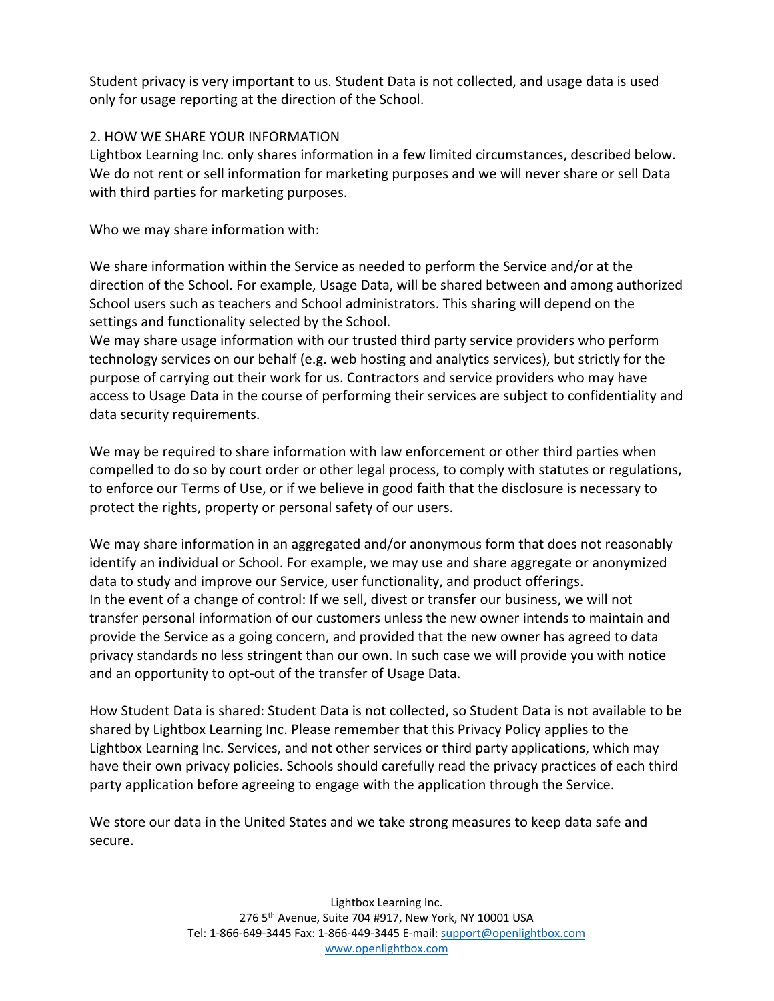Student privacy is very important to us. Student Data is not collected, and usage data is used only for usage reporting at the direction of the School.

## 2. HOW WE SHARE YOUR INFORMATION

Lightbox Learning Inc. only shares information in a few limited circumstances, described below. We do not rent or sell information for marketing purposes and we will never share or sell Data with third parties for marketing purposes.

Who we may share information with:

We share information within the Service as needed to perform the Service and/or at the direction of the School. For example, Usage Data, will be shared between and among authorized School users such as teachers and School administrators. This sharing will depend on the settings and functionality selected by the School.

We may share usage information with our trusted third party service providers who perform technology services on our behalf (e.g. web hosting and analytics services), but strictly for the purpose of carrying out their work for us. Contractors and service providers who may have access to Usage Data in the course of performing their services are subject to confidentiality and data security requirements.

We may be required to share information with law enforcement or other third parties when compelled to do so by court order or other legal process, to comply with statutes or regulations, to enforce our Terms of Use, or if we believe in good faith that the disclosure is necessary to protect the rights, property or personal safety of our users.

We may share information in an aggregated and/or anonymous form that does not reasonably identify an individual or School. For example, we may use and share aggregate or anonymized data to study and improve our Service, user functionality, and product offerings. In the event of a change of control: If we sell, divest or transfer our business, we will not transfer personal information of our customers unless the new owner intends to maintain and provide the Service as a going concern, and provided that the new owner has agreed to data privacy standards no less stringent than our own. In such case we will provide you with notice and an opportunity to opt-out of the transfer of Usage Data.

How Student Data is shared: Student Data is not collected, so Student Data is not available to be shared by Lightbox Learning Inc. Please remember that this Privacy Policy applies to the Lightbox Learning Inc. Services, and not other services or third party applications, which may have their own privacy policies. Schools should carefully read the privacy practices of each third party application before agreeing to engage with the application through the Service.

We store our data in the United States and we take strong measures to keep data safe and secure.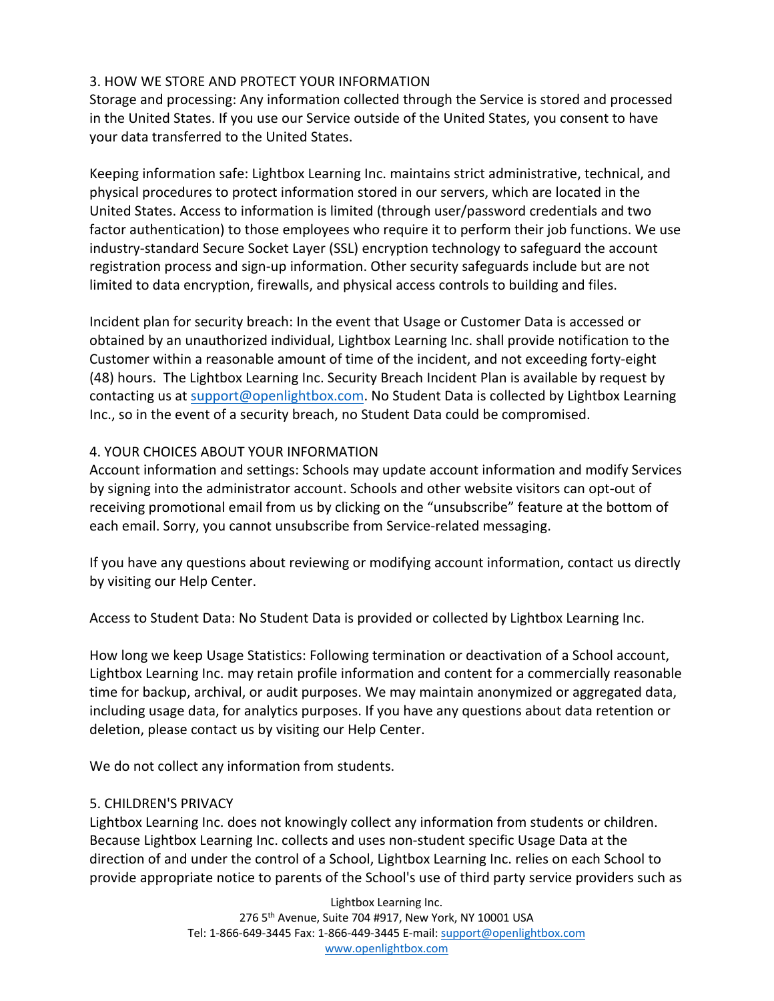### 3. HOW WE STORE AND PROTECT YOUR INFORMATION

Storage and processing: Any information collected through the Service is stored and processed in the United States. If you use our Service outside of the United States, you consent to have your data transferred to the United States.

Keeping information safe: Lightbox Learning Inc. maintains strict administrative, technical, and physical procedures to protect information stored in our servers, which are located in the United States. Access to information is limited (through user/password credentials and two factor authentication) to those employees who require it to perform their job functions. We use industry-standard Secure Socket Layer (SSL) encryption technology to safeguard the account registration process and sign-up information. Other security safeguards include but are not limited to data encryption, firewalls, and physical access controls to building and files.

Incident plan for security breach: In the event that Usage or Customer Data is accessed or obtained by an unauthorized individual, Lightbox Learning Inc. shall provide notification to the Customer within a reasonable amount of time of the incident, and not exceeding forty-eight (48) hours. The Lightbox Learning Inc. Security Breach Incident Plan is available by request by contacting us at support@openlightbox.com. No Student Data is collected by Lightbox Learning Inc., so in the event of a security breach, no Student Data could be compromised.

# 4. YOUR CHOICES ABOUT YOUR INFORMATION

Account information and settings: Schools may update account information and modify Services by signing into the administrator account. Schools and other website visitors can opt-out of receiving promotional email from us by clicking on the "unsubscribe" feature at the bottom of each email. Sorry, you cannot unsubscribe from Service-related messaging.

If you have any questions about reviewing or modifying account information, contact us directly by visiting our Help Center.

Access to Student Data: No Student Data is provided or collected by Lightbox Learning Inc.

How long we keep Usage Statistics: Following termination or deactivation of a School account, Lightbox Learning Inc. may retain profile information and content for a commercially reasonable time for backup, archival, or audit purposes. We may maintain anonymized or aggregated data, including usage data, for analytics purposes. If you have any questions about data retention or deletion, please contact us by visiting our Help Center.

We do not collect any information from students.

# 5. CHILDREN'S PRIVACY

Lightbox Learning Inc. does not knowingly collect any information from students or children. Because Lightbox Learning Inc. collects and uses non-student specific Usage Data at the direction of and under the control of a School, Lightbox Learning Inc. relies on each School to provide appropriate notice to parents of the School's use of third party service providers such as